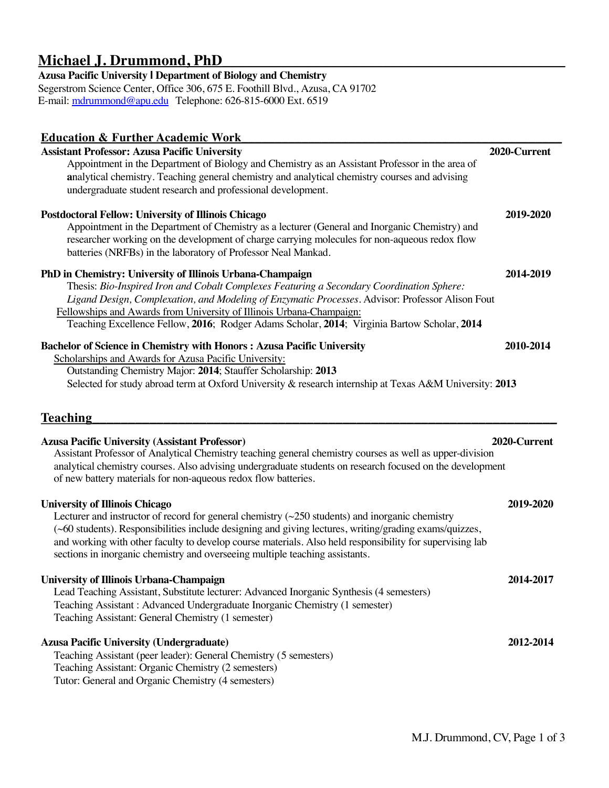# **Michael J. Drummond, PhD\_\_\_\_\_\_\_\_\_\_\_\_\_\_\_\_\_\_\_\_\_\_\_\_\_\_\_\_\_\_\_\_\_\_\_\_\_\_\_\_\_\_\_\_\_**

# **Azusa Pacific University I Department of Biology and Chemistry**

Segerstrom Science Center, Office 306, 675 E. Foothill Blvd., Azusa, CA 91702 E-m[ail: mdrummond@apu.e](mailto:mdrummond@apu.edu)du Telephone: 626-815-6000 Ext. 6519

| <b>Education &amp; Further Academic Work</b>                                                                                                                                                                    |              |
|-----------------------------------------------------------------------------------------------------------------------------------------------------------------------------------------------------------------|--------------|
| <b>Assistant Professor: Azusa Pacific University</b>                                                                                                                                                            | 2020-Current |
| Appointment in the Department of Biology and Chemistry as an Assistant Professor in the area of                                                                                                                 |              |
| analytical chemistry. Teaching general chemistry and analytical chemistry courses and advising                                                                                                                  |              |
| undergraduate student research and professional development.                                                                                                                                                    |              |
| <b>Postdoctoral Fellow: University of Illinois Chicago</b>                                                                                                                                                      | 2019-2020    |
| Appointment in the Department of Chemistry as a lecturer (General and Inorganic Chemistry) and                                                                                                                  |              |
| researcher working on the development of charge carrying molecules for non-aqueous redox flow                                                                                                                   |              |
| batteries (NRFBs) in the laboratory of Professor Neal Mankad.                                                                                                                                                   |              |
| PhD in Chemistry: University of Illinois Urbana-Champaign                                                                                                                                                       | 2014-2019    |
| Thesis: Bio-Inspired Iron and Cobalt Complexes Featuring a Secondary Coordination Sphere:                                                                                                                       |              |
| Ligand Design, Complexation, and Modeling of Enzymatic Processes. Advisor: Professor Alison Fout                                                                                                                |              |
| Fellowships and Awards from University of Illinois Urbana-Champaign:                                                                                                                                            |              |
| Teaching Excellence Fellow, 2016; Rodger Adams Scholar, 2014; Virginia Bartow Scholar, 2014                                                                                                                     |              |
| <b>Bachelor of Science in Chemistry with Honors: Azusa Pacific University</b>                                                                                                                                   | 2010-2014    |
| Scholarships and Awards for Azusa Pacific University:                                                                                                                                                           |              |
| Outstanding Chemistry Major: 2014; Stauffer Scholarship: 2013                                                                                                                                                   |              |
| Selected for study abroad term at Oxford University & research internship at Texas A&M University: 2013                                                                                                         |              |
|                                                                                                                                                                                                                 |              |
| <b>Teaching</b>                                                                                                                                                                                                 |              |
|                                                                                                                                                                                                                 |              |
|                                                                                                                                                                                                                 |              |
| <b>Azusa Pacific University (Assistant Professor)</b>                                                                                                                                                           | 2020-Current |
| Assistant Professor of Analytical Chemistry teaching general chemistry courses as well as upper-division                                                                                                        |              |
| analytical chemistry courses. Also advising undergraduate students on research focused on the development<br>of new battery materials for non-aqueous redox flow batteries.                                     |              |
|                                                                                                                                                                                                                 |              |
| <b>University of Illinois Chicago</b>                                                                                                                                                                           | 2019-2020    |
| Lecturer and instructor of record for general chemistry $(\sim 250$ students) and inorganic chemistry<br>(~60 students). Responsibilities include designing and giving lectures, writing/grading exams/quizzes, |              |
| and working with other faculty to develop course materials. Also held responsibility for supervising lab                                                                                                        |              |
| sections in inorganic chemistry and overseeing multiple teaching assistants.                                                                                                                                    |              |
|                                                                                                                                                                                                                 |              |
| <b>University of Illinois Urbana-Champaign</b><br>Lead Teaching Assistant, Substitute lecturer: Advanced Inorganic Synthesis (4 semesters)                                                                      | 2014-2017    |
| Teaching Assistant: Advanced Undergraduate Inorganic Chemistry (1 semester)                                                                                                                                     |              |
| Teaching Assistant: General Chemistry (1 semester)                                                                                                                                                              |              |
| <b>Azusa Pacific University (Undergraduate)</b>                                                                                                                                                                 | 2012-2014    |
| Teaching Assistant (peer leader): General Chemistry (5 semesters)                                                                                                                                               |              |
| Teaching Assistant: Organic Chemistry (2 semesters)                                                                                                                                                             |              |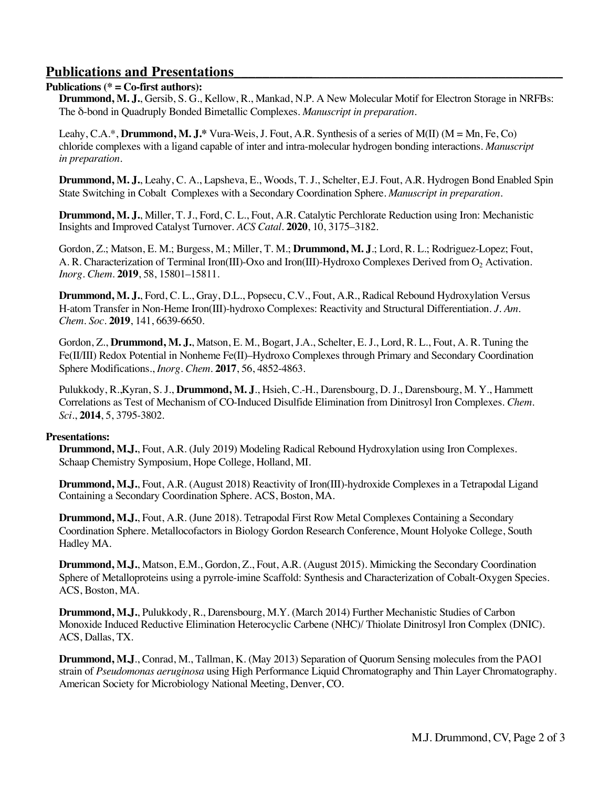# **Publications and Presentations\_\_\_\_\_\_\_\_\_\_\_**\_\_\_\_\_\_\_\_\_\_\_\_\_\_\_\_\_\_\_\_\_\_\_\_\_\_\_\_\_\_\_\_\_\_\_

## **Publications (\* = Co-first authors):**

**Drummond, M. J.**, Gersib, S. G., Kellow, R., Mankad, N.P. A New Molecular Motif for Electron Storage in NRFBs: The δ-bond in Quadruply Bonded Bimetallic Complexes. *Manuscript in preparation.*

Leahy, C.A.\*, **Drummond, M. J.\*** Vura-Weis, J. Fout, A.R. Synthesis of a series of M(II) (M = Mn, Fe, Co) chloride complexes with a ligand capable of inter and intra-molecular hydrogen bonding interactions. *Manuscript in preparation.* 

**Drummond, M. J.**, Leahy, C. A., Lapsheva, E., Woods, T. J., Schelter, E.J. Fout, A.R. Hydrogen Bond Enabled Spin State Switching in Cobalt Complexes with a Secondary Coordination Sphere. *Manuscript in preparation.*

**Drummond, M. J.**, Miller, T. J., Ford, C. L., Fout, A.R. Catalytic Perchlorate Reduction using Iron: Mechanistic Insights and Improved Catalyst Turnover. *ACS Catal.* **2020**, 10, 3175–3182.

Gordon, Z.; Matson, E. M.; Burgess, M.; Miller, T. M.; **Drummond, M. J**.; Lord, R. L.; Rodriguez-Lopez; Fout, A. R. Characterization of Terminal Iron(III)-Oxo and Iron(III)-Hydroxo Complexes Derived from O<sub>2</sub> Activation. *Inorg. Chem.* **2019**, 58, 15801–15811.

**Drummond, M. J.**, Ford, C. L., Gray, D.L., Popsecu, C.V., Fout, A.R., Radical Rebound Hydroxylation Versus H-atom Transfer in Non-Heme Iron(III)-hydroxo Complexes: Reactivity and Structural Differentiation. *J. Am. Chem. Soc.* **2019**, 141, 6639-6650.

Gordon, Z., **Drummond, M. J.**, Matson, E. M., Bogart, J.A., Schelter, E. J., Lord, R. L., Fout, A. R. Tuning the Fe(II/III) Redox Potential in Nonheme Fe(II)–Hydroxo Complexes through Primary and Secondary Coordination Sphere Modifications., *Inorg. Chem.* **2017**, 56, 4852-4863.

Pulukkody, R.,Kyran, S. J., **Drummond, M. J**., Hsieh, C.-H., Darensbourg, D. J., Darensbourg, M. Y., Hammett Correlations as Test of Mechanism of CO-Induced Disulfide Elimination from Dinitrosyl Iron Complexes. *Chem. Sci.*, **2014**, 5, 3795-3802.

### **Presentations:**

**Drummond, M.J.**, Fout, A.R. (July 2019) Modeling Radical Rebound Hydroxylation using Iron Complexes. Schaap Chemistry Symposium, Hope College, Holland, MI.

**Drummond, M.J.**, Fout, A.R. (August 2018) Reactivity of Iron(III)-hydroxide Complexes in a Tetrapodal Ligand Containing a Secondary Coordination Sphere. ACS, Boston, MA.

**Drummond, M.J.**, Fout, A.R. (June 2018). Tetrapodal First Row Metal Complexes Containing a Secondary Coordination Sphere. Metallocofactors in Biology Gordon Research Conference, Mount Holyoke College, South Hadley MA.

**Drummond, M.J.**, Matson, E.M., Gordon, Z., Fout, A.R. (August 2015). Mimicking the Secondary Coordination Sphere of Metalloproteins using a pyrrole-imine Scaffold: Synthesis and Characterization of Cobalt-Oxygen Species. ACS, Boston, MA.

**Drummond, M.J.**, Pulukkody, R., Darensbourg, M.Y. (March 2014) Further Mechanistic Studies of Carbon Monoxide Induced Reductive Elimination Heterocyclic Carbene (NHC)/ Thiolate Dinitrosyl Iron Complex (DNIC). ACS, Dallas, TX.

**Drummond, M.J**., Conrad, M., Tallman, K. (May 2013) Separation of Quorum Sensing molecules from the PAO1 strain of *Pseudomonas aeruginosa* using High Performance Liquid Chromatography and Thin Layer Chromatography. American Society for Microbiology National Meeting, Denver, CO.